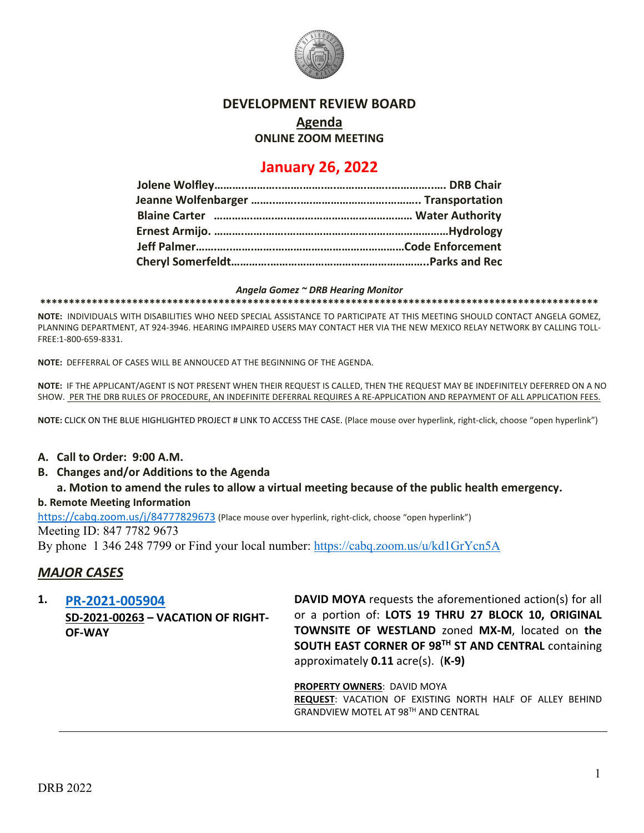

### **DEVELOPMENT REVIEW BOARD**

## **Agenda**

**ONLINE ZOOM MEETING**

# **January 26, 2022**

#### *Angela Gomez ~ DRB Hearing Monitor*

**\*\*\*\*\*\*\*\*\*\*\*\*\*\*\*\*\*\*\*\*\*\*\*\*\*\*\*\*\*\*\*\*\*\*\*\*\*\*\*\*\*\*\*\*\*\*\*\*\*\*\*\*\*\*\*\*\*\*\*\*\*\*\*\*\*\*\*\*\*\*\*\*\*\*\*\*\*\*\*\*\*\*\*\*\*\*\*\*\*\*\*\*\*\*\*\*\***

**NOTE:** INDIVIDUALS WITH DISABILITIES WHO NEED SPECIAL ASSISTANCE TO PARTICIPATE AT THIS MEETING SHOULD CONTACT ANGELA GOMEZ, PLANNING DEPARTMENT, AT 924-3946. HEARING IMPAIRED USERS MAY CONTACT HER VIA THE NEW MEXICO RELAY NETWORK BY CALLING TOLL-FREE:1-800-659-8331.

**NOTE:** DEFFERRAL OF CASES WILL BE ANNOUCED AT THE BEGINNING OF THE AGENDA.

**NOTE:** IF THE APPLICANT/AGENT IS NOT PRESENT WHEN THEIR REQUEST IS CALLED, THEN THE REQUEST MAY BE INDEFINITELY DEFERRED ON A NO SHOW. PER THE DRB RULES OF PROCEDURE, AN INDEFINITE DEFERRAL REQUIRES A RE-APPLICATION AND REPAYMENT OF ALL APPLICATION FEES.

**NOTE:** CLICK ON THE BLUE HIGHLIGHTED PROJECT # LINK TO ACCESS THE CASE. (Place mouse over hyperlink, right-click, choose "open hyperlink")

### **A. Call to Order: 9:00 A.M.**

- **B. Changes and/or Additions to the Agenda**
	- **a. Motion to amend the rules to allow a virtual meeting because of the public health emergency.**

#### **b. Remote Meeting Information**

<https://cabq.zoom.us/j/84777829673> (Place mouse over hyperlink, right-click, choose "open hyperlink")

Meeting ID: 847 7782 9673

By phone 1 346 248 7799 or Find your local number:<https://cabq.zoom.us/u/kd1GrYcn5A>

## *MAJOR CASES*

### **1. [PR-2021-005904](http://data.cabq.gov/government/planning/DRB/PR-2021-005904/DRB%20Submittals/PR-2021-005904%20(SD-2021-0026)_January_26_2022/city%20of%20Alb%20alley%20vac%20app.pdf)**

**SD-2021-00263 – VACATION OF RIGHT-OF-WAY**

**DAVID MOYA** requests the aforementioned action(s) for all or a portion of: **LOTS 19 THRU 27 BLOCK 10, ORIGINAL TOWNSITE OF WESTLAND** zoned **MX-M**, located on **the SOUTH EAST CORNER OF 98TH ST AND CENTRAL** containing approximately **0.11** acre(s). (**K-9)**

**PROPERTY OWNERS**: DAVID MOYA **REQUEST**: VACATION OF EXISTING NORTH HALF OF ALLEY BEHIND GRANDVIEW MOTEL AT 98TH AND CENTRAL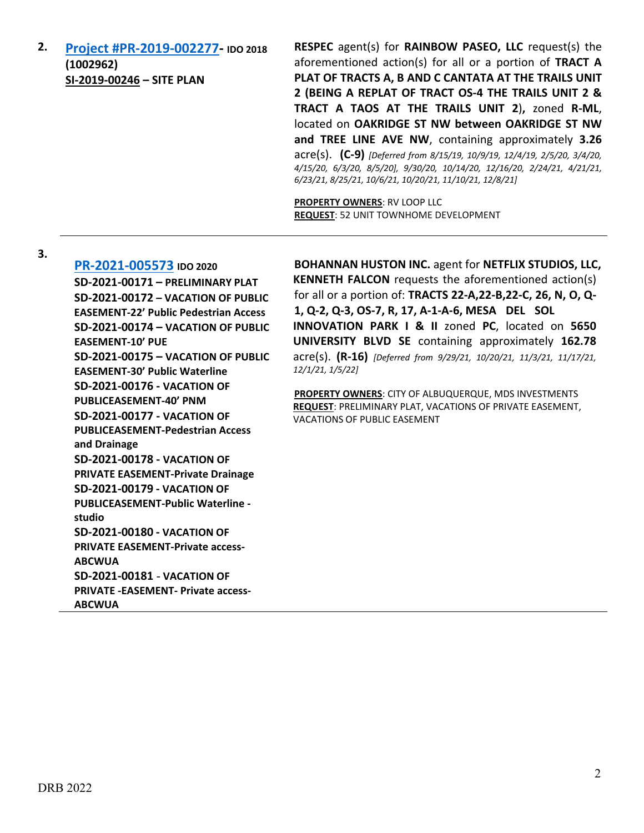**2. [Project #PR-2019-002277-](http://data.cabq.gov/government/planning/DRB/PR-2019-002277/DRB%20Submittals/) IDO 2018 (1002962) SI-2019-00246 – SITE PLAN**

**RESPEC** agent(s) for **RAINBOW PASEO, LLC** request(s) the aforementioned action(s) for all or a portion of **TRACT A PLAT OF TRACTS A, B AND C CANTATA AT THE TRAILS UNIT 2 (BEING A REPLAT OF TRACT OS-4 THE TRAILS UNIT 2 & TRACT A TAOS AT THE TRAILS UNIT 2**)**,** zoned **R-ML**, located on **OAKRIDGE ST NW between OAKRIDGE ST NW and TREE LINE AVE NW**, containing approximately **3.26** acre(s). **(C-9)** *[Deferred from 8/15/19, 10/9/19, 12/4/19, 2/5/20, 3/4/20, 4/15/20, 6/3/20, 8/5/20], 9/30/20, 10/14/20, 12/16/20, 2/24/21, 4/21/21, 6/23/21, 8/25/21, 10/6/21, 10/20/21, 11/10/21, 12/8/21]*

**PROPERTY OWNERS**: RV LOOP LLC **REQUEST**: 52 UNIT TOWNHOME DEVELOPMENT

**3.**

**[PR-2021-005573](http://data.cabq.gov/government/planning/DRB/PR-2021-005573/DRB%20Submittals/) IDO 2020 SD-2021-00171 – PRELIMINARY PLAT SD-2021-00172 – VACATION OF PUBLIC EASEMENT-22' Public Pedestrian Access SD-2021-00174 – VACATION OF PUBLIC EASEMENT-10' PUE SD-2021-00175 – VACATION OF PUBLIC EASEMENT-30' Public Waterline SD-2021-00176 - VACATION OF PUBLICEASEMENT-40' PNM SD-2021-00177 - VACATION OF PUBLICEASEMENT-Pedestrian Access and Drainage SD-2021-00178 - VACATION OF PRIVATE EASEMENT-Private Drainage SD-2021-00179 - VACATION OF PUBLICEASEMENT-Public Waterline studio SD-2021-00180 - VACATION OF PRIVATE EASEMENT-Private access-ABCWUA SD-2021-00181** - **VACATION OF PRIVATE -EASEMENT- Private access-ABCWUA**

**BOHANNAN HUSTON INC.** agent for **NETFLIX STUDIOS, LLC, KENNETH FALCON** requests the aforementioned action(s) for all or a portion of: **TRACTS 22-A,22-B,22-C, 26, N, O, Q-1, Q-2, Q-3, OS-7, R, 17, A-1-A-6, MESA DEL SOL INNOVATION PARK I & II** zoned **PC**, located on **5650 UNIVERSITY BLVD SE** containing approximately **162.78** acre(s). **(R-16)** *[Deferred from 9/29/21, 10/20/21, 11/3/21, 11/17/21, 12/1/21, 1/5/22]*

**PROPERTY OWNERS**: CITY OF ALBUQUERQUE, MDS INVESTMENTS **REQUEST**: PRELIMINARY PLAT, VACATIONS OF PRIVATE EASEMENT, VACATIONS OF PUBLIC EASEMENT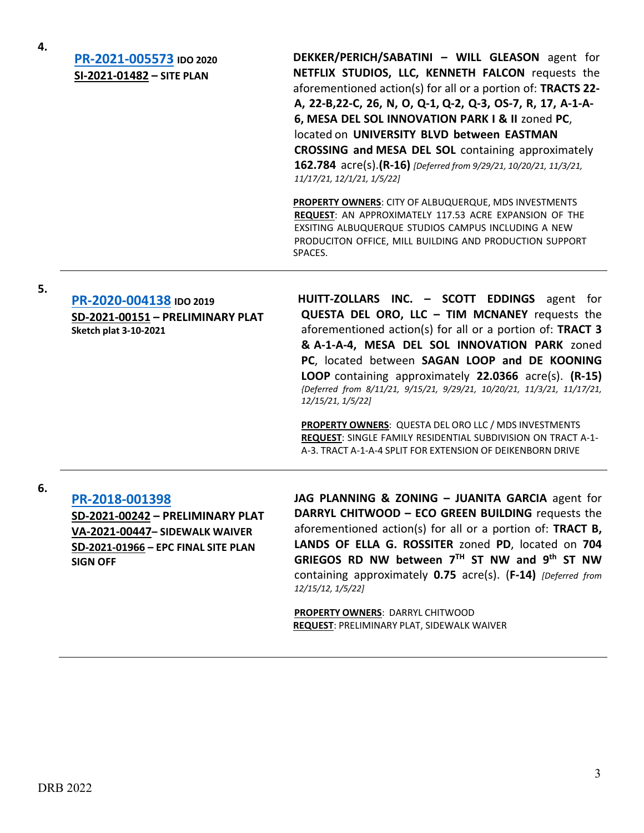**4.**

**[PR-2021-005573](http://data.cabq.gov/government/planning/DRB/PR-2021-005573/DRB%20Submittals/) IDO 2020 SI-2021-01482 – SITE PLAN**

**DEKKER/PERICH/SABATINI – WILL GLEASON** agent for **NETFLIX STUDIOS, LLC, KENNETH FALCON** requests the aforementioned action(s) for all or a portion of: **TRACTS 22- A, 22-B,22-C, 26, N, O, Q-1, Q-2, Q-3, OS-7, R, 17, A-1-A-6, MESA DEL SOL INNOVATION PARK I & II** zoned **PC**, located on **UNIVERSITY BLVD between EASTMAN CROSSING and MESA DEL SOL** containing approximately **162.784** acre(s).**(R-16)** *[Deferred from 9/29/21, 10/20/21, 11/3/21, 11/17/21, 12/1/21, 1/5/22]*

**PROPERTY OWNERS**: CITY OF ALBUQUERQUE, MDS INVESTMENTS **REQUEST**: AN APPROXIMATELY 117.53 ACRE EXPANSION OF THE EXSITING ALBUQUERQUE STUDIOS CAMPUS INCLUDING A NEW PRODUCITON OFFICE, MILL BUILDING AND PRODUCTION SUPPORT SPACES.

**5.**

## **[PR-2020-004138](http://data.cabq.gov/government/planning/DRB/PR-2020-004138/DRB%20Submittals/) IDO 2019 SD-2021-00151 – PRELIMINARY PLAT Sketch plat 3-10-2021**

**HUITT-ZOLLARS INC. – SCOTT EDDINGS** agent for **QUESTA DEL ORO, LLC – TIM MCNANEY** requests the aforementioned action(s) for all or a portion of: **TRACT 3 & A-1-A-4, MESA DEL SOL INNOVATION PARK** zoned **PC**, located between **SAGAN LOOP and DE KOONING LOOP** containing approximately **22.0366** acre(s). **(R-15)** *{Deferred from 8/11/21, 9/15/21, 9/29/21, 10/20/21, 11/3/21, 11/17/21, 12/15/21, 1/5/22]*

**PROPERTY OWNERS**: QUESTA DEL ORO LLC / MDS INVESTMENTS **REQUEST**: SINGLE FAMILY RESIDENTIAL SUBDIVISION ON TRACT A-1- A-3. TRACT A-1-A-4 SPLIT FOR EXTENSION OF DEIKENBORN DRIVE

#### **6.**

**[PR-2018-001398](http://data.cabq.gov/government/planning/DRB/PR-2018-001398/DRB%20Submittals/) SD-2021-00242 – PRELIMINARY PLAT**

**VA-2021-00447– SIDEWALK WAIVER SD-2021-01966 – EPC FINAL SITE PLAN SIGN OFF**

**JAG PLANNING & ZONING – JUANITA GARCIA** agent for **DARRYL CHITWOOD – ECO GREEN BUILDING** requests the aforementioned action(s) for all or a portion of: **TRACT B, LANDS OF ELLA G. ROSSITER** zoned **PD**, located on **704 GRIEGOS RD NW between 7TH ST NW and 9th ST NW** containing approximately **0.75** acre(s). (**F-14)** *[Deferred from 12/15/12, 1/5/22]*

**PROPERTY OWNERS**: DARRYL CHITWOOD **REQUEST**: PRELIMINARY PLAT, SIDEWALK WAIVER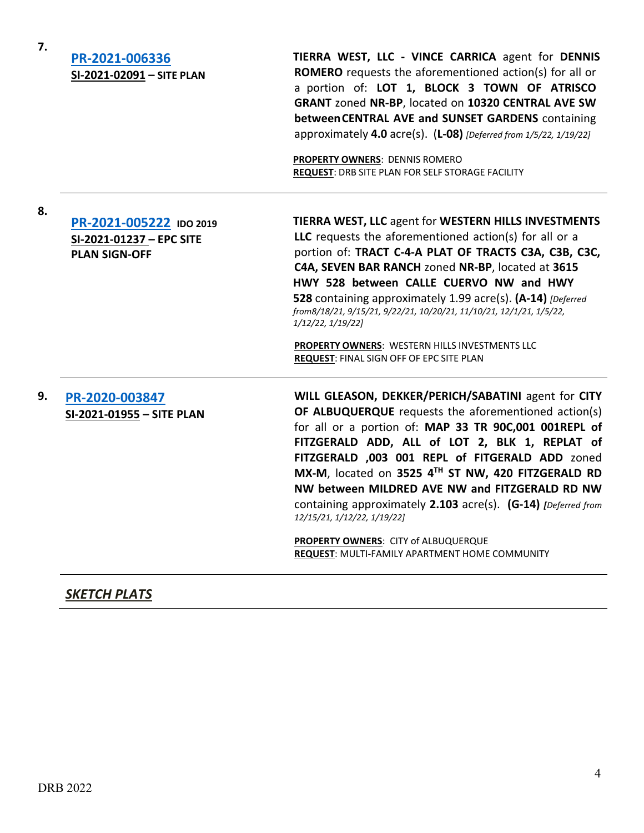| 7. | PR-2021-006336<br>SI-2021-02091 - SITE PLAN                                 | TIERRA WEST, LLC - VINCE CARRICA agent for DENNIS<br><b>ROMERO</b> requests the aforementioned action(s) for all or<br>a portion of: LOT 1, BLOCK 3 TOWN OF ATRISCO<br>GRANT zoned NR-BP, located on 10320 CENTRAL AVE SW<br>between CENTRAL AVE and SUNSET GARDENS containing<br>approximately 4.0 acre(s). $(L-08)$ [Deferred from 1/5/22, 1/19/22]<br><b>PROPERTY OWNERS: DENNIS ROMERO</b><br>REQUEST: DRB SITE PLAN FOR SELF STORAGE FACILITY                                                                                                                          |
|----|-----------------------------------------------------------------------------|-----------------------------------------------------------------------------------------------------------------------------------------------------------------------------------------------------------------------------------------------------------------------------------------------------------------------------------------------------------------------------------------------------------------------------------------------------------------------------------------------------------------------------------------------------------------------------|
| 8. | PR-2021-005222 IDO 2019<br>SI-2021-01237 - EPC SITE<br><b>PLAN SIGN-OFF</b> | TIERRA WEST, LLC agent for WESTERN HILLS INVESTMENTS<br>LLC requests the aforementioned action(s) for all or a<br>portion of: TRACT C-4-A PLAT OF TRACTS C3A, C3B, C3C,<br>C4A, SEVEN BAR RANCH zoned NR-BP, located at 3615<br>HWY 528 between CALLE CUERVO NW and HWY<br>528 containing approximately 1.99 acre(s). (A-14) [Deferred<br>from8/18/21, 9/15/21, 9/22/21, 10/20/21, 11/10/21, 12/1/21, 1/5/22,<br>1/12/22, 1/19/22]<br>PROPERTY OWNERS: WESTERN HILLS INVESTMENTS LLC<br>REQUEST: FINAL SIGN OFF OF EPC SITE PLAN                                            |
| 9. | PR-2020-003847<br>SI-2021-01955 - SITE PLAN                                 | WILL GLEASON, DEKKER/PERICH/SABATINI agent for CITY<br>OF ALBUQUERQUE requests the aforementioned action(s)<br>for all or a portion of: MAP 33 TR 90C,001 001REPL of<br>FITZGERALD ADD, ALL of LOT 2, BLK 1, REPLAT of<br>FITZGERALD ,003 001 REPL of FITGERALD ADD zoned<br>MX-M, located on 3525 4TH ST NW, 420 FITZGERALD RD<br>NW between MILDRED AVE NW and FITZGERALD RD NW<br>containing approximately 2.103 acre(s). (G-14) [Deferred from<br>12/15/21, 1/12/22, 1/19/22]<br>PROPERTY OWNERS: CITY of ALBUQUERQUE<br>REQUEST: MULTI-FAMILY APARTMENT HOME COMMUNITY |

## *SKETCH PLATS*